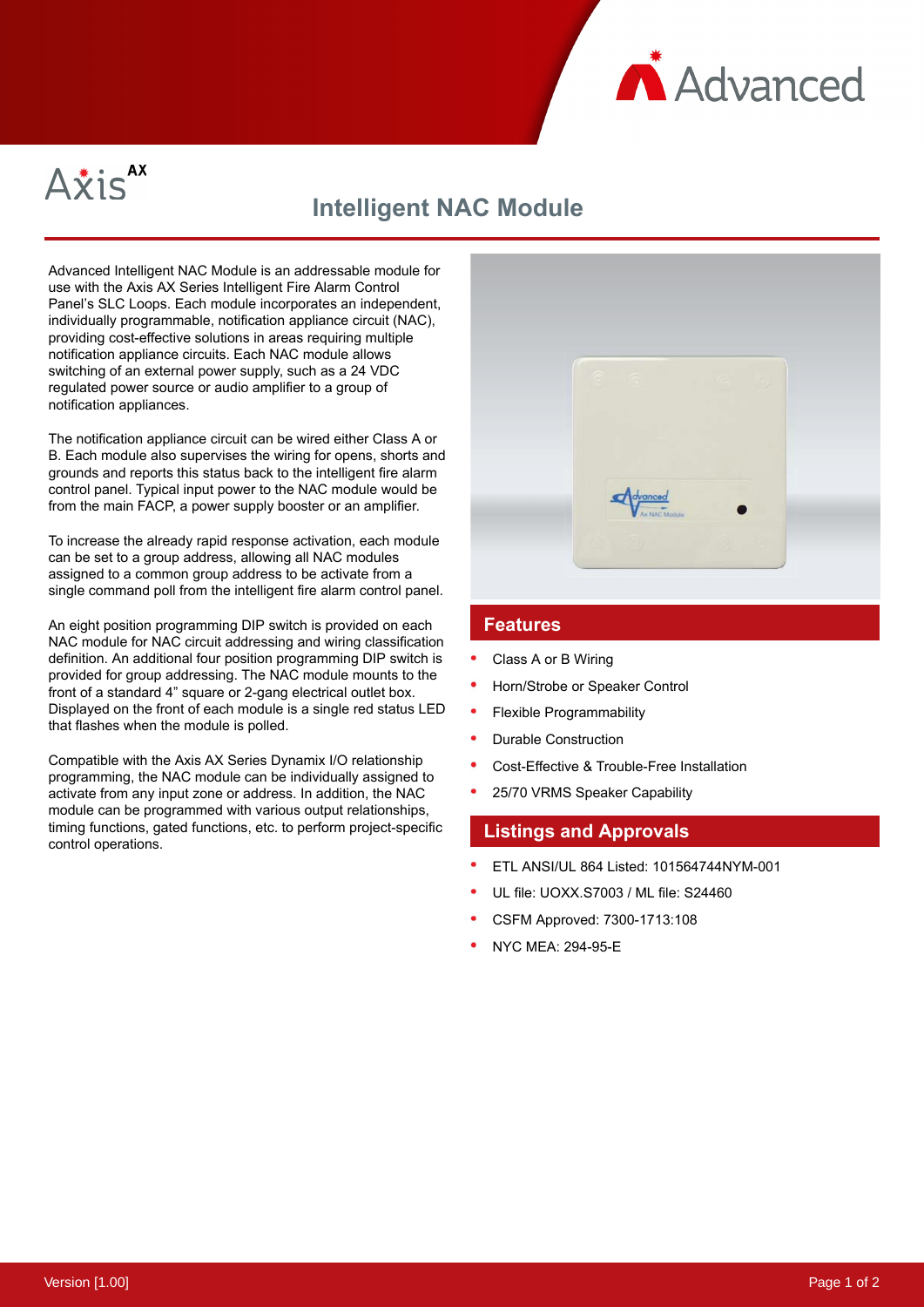



# **Intelligent NAC Module**

Advanced Intelligent NAC Module is an addressable module for use with the Axis AX Series Intelligent Fire Alarm Control Panel's SLC Loops. Each module incorporates an independent, individually programmable, notification appliance circuit (NAC), providing cost-effective solutions in areas requiring multiple notification appliance circuits. Each NAC module allows switching of an external power supply, such as a 24 VDC regulated power source or audio amplifier to a group of notification appliances.

The notification appliance circuit can be wired either Class A or B. Each module also supervises the wiring for opens, shorts and grounds and reports this status back to the intelligent fire alarm control panel. Typical input power to the NAC module would be from the main FACP, a power supply booster or an amplifier.

To increase the already rapid response activation, each module can be set to a group address, allowing all NAC modules assigned to a common group address to be activate from a single command poll from the intelligent fire alarm control panel.

An eight position programming DIP switch is provided on each NAC module for NAC circuit addressing and wiring classification definition. An additional four position programming DIP switch is provided for group addressing. The NAC module mounts to the front of a standard 4" square or 2-gang electrical outlet box. Displayed on the front of each module is a single red status LED that flashes when the module is polled.

Compatible with the Axis AX Series Dynamix I/O relationship programming, the NAC module can be individually assigned to activate from any input zone or address. In addition, the NAC module can be programmed with various output relationships, timing functions, gated functions, etc. to perform project-specific control operations.



#### **Features**

- Class A or B Wiring
- Horn/Strobe or Speaker Control
- Flexible Programmability
- Durable Construction
- Cost-Effective & Trouble-Free Installation
- 25/70 VRMS Speaker Capability

### **Listings and Approvals**

- ETL ANSI/UL 864 Listed: 101564744NYM-001
- UL file: UOXX.S7003 / ML file: S24460
- CSFM Approved: 7300-1713:108
- NYC MEA: 294-95-E